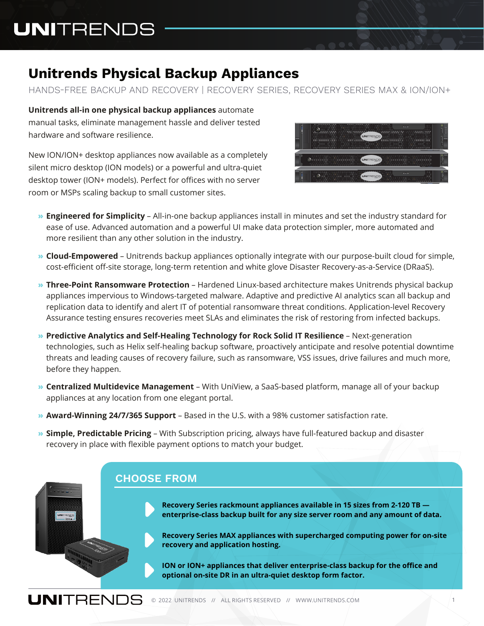# **UNITRENDS**

# **Unitrends Physical Backup Appliances**

HANDS-FREE BACKUP AND RECOVERY | RECOVERY SERIES, RECOVERY SERIES MAX & ION/ION+

**Unitrends all-in one physical backup appliances** automate manual tasks, eliminate management hassle and deliver tested hardware and software resilience.

New ION/ION+ desktop appliances now available as a completely silent micro desktop (ION models) or a powerful and ultra-quiet desktop tower (ION+ models). Perfect for offices with no server room or MSPs scaling backup to small customer sites.



- **» Engineered for Simplicity** All-in-one backup appliances install in minutes and set the industry standard for ease of use. Advanced automation and a powerful UI make data protection simpler, more automated and more resilient than any other solution in the industry.
- **» Cloud-Empowered** Unitrends backup appliances optionally integrate with our purpose-built cloud for simple, cost-efficient off-site storage, long-term retention and white glove Disaster Recovery-as-a-Service (DRaaS).
- **» Three-Point Ransomware Protection** Hardened Linux-based architecture makes Unitrends physical backup appliances impervious to Windows-targeted malware. Adaptive and predictive AI analytics scan all backup and replication data to identify and alert IT of potential ransomware threat conditions. Application-level Recovery Assurance testing ensures recoveries meet SLAs and eliminates the risk of restoring from infected backups.
- **» Predictive Analytics and Self-Healing Technology for Rock Solid IT Resilience** Next-generation technologies, such as Helix self-healing backup software, proactively anticipate and resolve potential downtime threats and leading causes of recovery failure, such as ransomware, VSS issues, drive failures and much more, before they happen.
- **» Centralized Multidevice Management** With UniView, a SaaS-based platform, manage all of your backup appliances at any location from one elegant portal.
- **» Award-Winning 24/7/365 Support**  Based in the U.S. with a 98% customer satisfaction rate.
- **» Simple, Predictable Pricing**  With Subscription pricing, always have full-featured backup and disaster recovery in place with flexible payment options to match your budget.

#### **CHOOSE FROM**

**Recovery Series rackmount appliances available in 15 sizes from 2-120 TB enterprise-class backup built for any size server room and any amount of data.**

**Recovery Series MAX appliances with supercharged computing power for on-site recovery and application hosting.**

**ION or ION+ appliances that deliver enterprise-class backup for the office and optional on-site DR in an ultra-quiet desktop form factor.**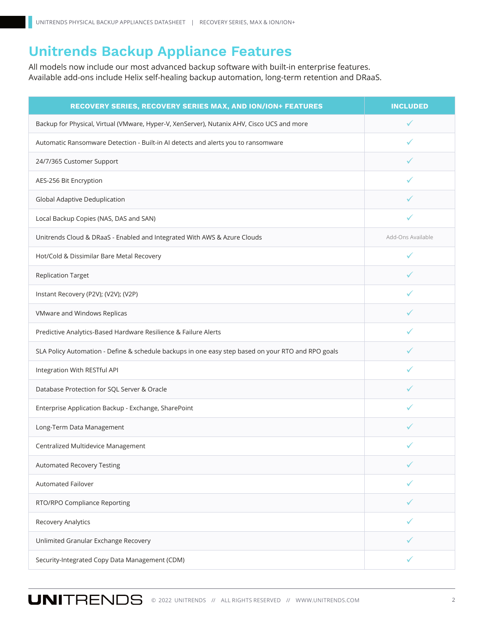## **Unitrends Backup Appliance Features**

All models now include our most advanced backup software with built-in enterprise features. Available add-ons include Helix self-healing backup automation, long-term retention and DRaaS.

| RECOVERY SERIES, RECOVERY SERIES MAX, AND ION/ION+ FEATURES                                        | <b>INCLUDED</b>   |
|----------------------------------------------------------------------------------------------------|-------------------|
| Backup for Physical, Virtual (VMware, Hyper-V, XenServer), Nutanix AHV, Cisco UCS and more         |                   |
| Automatic Ransomware Detection - Built-in AI detects and alerts you to ransomware                  |                   |
| 24/7/365 Customer Support                                                                          |                   |
| AES-256 Bit Encryption                                                                             |                   |
| Global Adaptive Deduplication                                                                      |                   |
| Local Backup Copies (NAS, DAS and SAN)                                                             |                   |
| Unitrends Cloud & DRaaS - Enabled and Integrated With AWS & Azure Clouds                           | Add-Ons Available |
| Hot/Cold & Dissimilar Bare Metal Recovery                                                          |                   |
| <b>Replication Target</b>                                                                          |                   |
| Instant Recovery (P2V); (V2V); (V2P)                                                               |                   |
| VMware and Windows Replicas                                                                        |                   |
| Predictive Analytics-Based Hardware Resilience & Failure Alerts                                    | ✓                 |
| SLA Policy Automation - Define & schedule backups in one easy step based on your RTO and RPO goals |                   |
| Integration With RESTful API                                                                       | ✓                 |
| Database Protection for SQL Server & Oracle                                                        |                   |
| Enterprise Application Backup - Exchange, SharePoint                                               | ✓                 |
| Long-Term Data Management                                                                          |                   |
| Centralized Multidevice Management                                                                 |                   |
| Automated Recovery Testing                                                                         |                   |
| <b>Automated Failover</b>                                                                          |                   |
| RTO/RPO Compliance Reporting                                                                       |                   |
| Recovery Analytics                                                                                 |                   |
| Unlimited Granular Exchange Recovery                                                               |                   |
| Security-Integrated Copy Data Management (CDM)                                                     | ✓                 |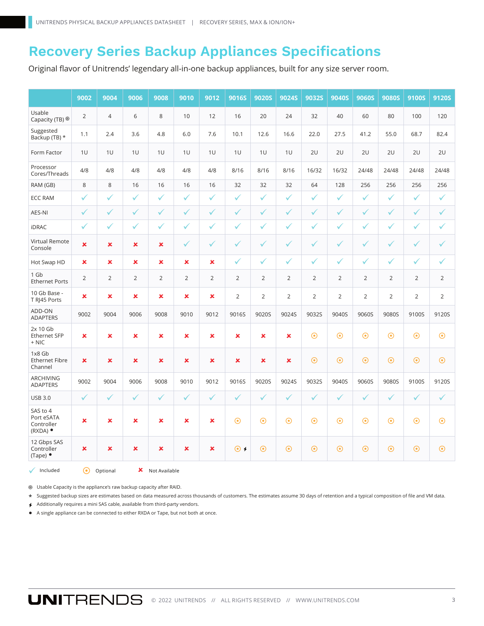#### **Recovery Series Backup Appliances Specifications**

Original flavor of Unitrends' legendary all-in-one backup appliances, built for any size server room.

|                                                            | 9002           | 9004           | 9006                      | 9008           | 9010           | 9012           | <b>9016S</b>   | <b>9020S</b>   | <b>9024S</b>   | <b>9032S</b>   | <b>9040S</b>   | <b>9060S</b>   | <b>9080S</b>   | <b>9100S</b>   | <b>9120S</b>   |
|------------------------------------------------------------|----------------|----------------|---------------------------|----------------|----------------|----------------|----------------|----------------|----------------|----------------|----------------|----------------|----------------|----------------|----------------|
| Usable<br>Capacity (TB)                                    | $\overline{2}$ | $\overline{4}$ | 6                         | 8              | 10             | 12             | 16             | 20             | 24             | 32             | 40             | 60             | 80             | 100            | 120            |
| Suggested<br>Backup (TB) *                                 | 1.1            | 2.4            | 3.6                       | 4.8            | 6.0            | 7.6            | 10.1           | 12.6           | 16.6           | 22.0           | 27.5           | 41.2           | 55.0           | 68.7           | 82.4           |
| Form Factor                                                | 1U             | 1U             | 1U                        | 1U             | 1U             | 1U             | 1U             | 1U             | 1U             | 2U             | 2U             | 2U             | 2U             | 2U             | 2U             |
| Processor<br>Cores/Threads                                 | 4/8            | 4/8            | 4/8                       | 4/8            | 4/8            | 4/8            | 8/16           | 8/16           | 8/16           | 16/32          | 16/32          | 24/48          | 24/48          | 24/48          | 24/48          |
| RAM (GB)                                                   | 8              | $\,8\,$        | 16                        | 16             | 16             | 16             | 32             | 32             | 32             | 64             | 128            | 256            | 256            | 256            | 256            |
| <b>ECC RAM</b>                                             | $\checkmark$   | $\checkmark$   | $\checkmark$              | $\checkmark$   | $\checkmark$   | ✓              | $\checkmark$   | $\checkmark$   | $\checkmark$   | $\checkmark$   | $\checkmark$   | $\checkmark$   | $\checkmark$   | $\checkmark$   | $\checkmark$   |
| AES-NI                                                     | $\checkmark$   | ✓              | $\checkmark$              | $\checkmark$   | ✓              | $\checkmark$   | $\checkmark$   | $\checkmark$   | ✓              | $\checkmark$   | $\checkmark$   | $\checkmark$   | $\checkmark$   | $\checkmark$   | $\checkmark$   |
| <b>iDRAC</b>                                               | ✓              | ✓              | $\checkmark$              | $\checkmark$   | ✓              | $\checkmark$   | ✓              | $\checkmark$   | $\checkmark$   | $\checkmark$   | ✓              | $\checkmark$   | $\checkmark$   | ✓              | $\checkmark$   |
| Virtual Remote<br>Console                                  | $\mathbf x$    | ×              | $\mathbf x$               | ×              | ✓              | ✓              | ✓              | ✓              | ✓              | $\checkmark$   | ✓              | ✓              | ✓              | ✓              | ✓              |
| Hot Swap HD                                                | ×              | ×              | $\pmb{\times}$            | ×              | ×              | ×              | $\checkmark$   | ✓              | $\checkmark$   | $\checkmark$   | ✓              | ✓              | ✓              | ✓              | $\checkmark$   |
| 1 Gb<br><b>Ethernet Ports</b>                              | 2              | $\overline{2}$ | $\overline{2}$            | $\overline{2}$ | $\overline{2}$ | $\overline{2}$ | $\overline{2}$ | $\overline{2}$ | $\overline{2}$ | $\overline{2}$ | $\overline{2}$ | $\overline{2}$ | $\overline{2}$ | $\overline{2}$ | $\overline{2}$ |
| 10 Gb Base -<br>T RJ45 Ports                               | ×              | ×              | $\boldsymbol{\mathsf{x}}$ | $\mathbf x$    | ×              | ×              | $\overline{2}$ | $\overline{2}$ | $\overline{2}$ | 2              | $\overline{2}$ | $\overline{2}$ | $\overline{2}$ | $\overline{2}$ | $\overline{2}$ |
| ADD-ON<br><b>ADAPTERS</b>                                  | 9002           | 9004           | 9006                      | 9008           | 9010           | 9012           | 9016S          | 9020S          | 9024S          | 9032S          | 9040S          | 9060S          | 9080S          | 9100S          | 9120S          |
| 2x 10 Gb<br><b>Ethernet SFP</b><br>$+$ NIC                 | $\mathbf x$    | $\mathbf x$    | $\boldsymbol{\mathsf{x}}$ | $\mathbf x$    | $\mathbf x$    | ×              | ×              | ×              | $\mathbf x$    | $\odot$        | $\odot$        | $\odot$        | $\odot$        | $\odot$        | $\odot$        |
| 1x8 Gb<br><b>Ethernet Fibre</b><br>Channel                 | ×              | ×              | $\boldsymbol{\mathsf{x}}$ | ×              | ×              | ×              | ×              | ×              | ×              | $\odot$        | $\odot$        | $\odot$        | $\odot$        | $\odot$        | $\odot$        |
| ARCHIVING<br><b>ADAPTERS</b>                               | 9002           | 9004           | 9006                      | 9008           | 9010           | 9012           | 9016S          | 9020S          | 9024S          | 9032S          | 9040S          | 9060S          | 9080S          | 9100S          | 9120S          |
| <b>USB 3.0</b>                                             | $\checkmark$   | $\checkmark$   | $\checkmark$              | $\checkmark$   | $\checkmark$   | $\checkmark$   | $\checkmark$   | $\checkmark$   | $\checkmark$   | $\checkmark$   | $\checkmark$   | $\checkmark$   | $\checkmark$   | $\checkmark$   | $\checkmark$   |
| SAS to 4<br>Port eSATA<br>Controller<br>$(RXDA)$ $\bullet$ | ×              | $\pmb{\times}$ | ×                         | ×              | ×              | ×              | $\odot$        | $\odot$        | $\odot$        | $\odot$        | $\odot$        | $\odot$        | $\odot$        | $\odot$        | $\odot$        |
| 12 Gbps SAS<br>Controller<br>$(Tape)$ $\bullet$            | $\pmb{\times}$ | $\pmb{\times}$ | $\boldsymbol{\mathsf{x}}$ | $\pmb{\times}$ | $\pmb{\times}$ | ×              | $\odot$        | $\odot$        | $\odot$        | $\odot$        | $\odot$        | $\odot$        | $\odot$        | $\odot$        | $\odot$        |

Usable Capacity is the appliance's raw backup capacity after RAID. O Optional

 $\sqrt{}$  Included

\* Suggested backup sizes are estimates based on data measured across thousands of customers. The estimates assume 30 days of retention and a typical composition of file and VM data.

Additionally requires a mini SAS cable, available from third-party vendors.

A single appliance can be connected to either RXDA or Tape, but not both at once. ●

 $\boldsymbol{\mathsf{X}}$  Not Available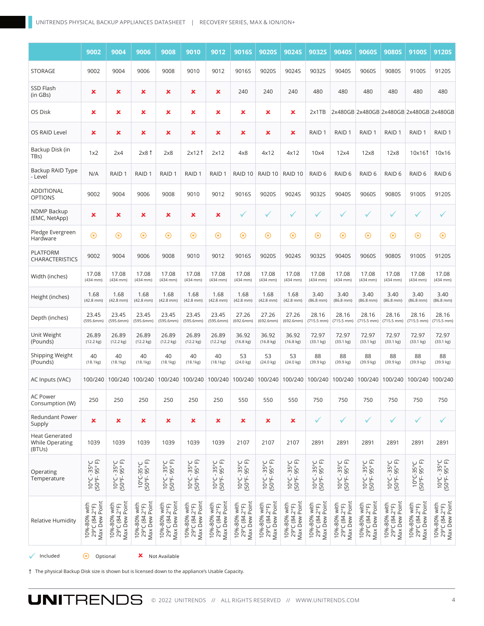|                                                           | 9002                                           | 9004                                           | 9006                                           | 9008                                           | 9010                                           | 9012                                           | 9016S                                                                           | <b>9020S</b>                                   | <b>9024S</b>                                   | <b>9032S</b>                                   | 9040S                                          | <b>9060S</b>                                   | <b>9080S</b>                                   | 9100S                                          | <b>9120S</b>                                   |
|-----------------------------------------------------------|------------------------------------------------|------------------------------------------------|------------------------------------------------|------------------------------------------------|------------------------------------------------|------------------------------------------------|---------------------------------------------------------------------------------|------------------------------------------------|------------------------------------------------|------------------------------------------------|------------------------------------------------|------------------------------------------------|------------------------------------------------|------------------------------------------------|------------------------------------------------|
| <b>STORAGE</b>                                            | 9002                                           | 9004                                           | 9006                                           | 9008                                           | 9010                                           | 9012                                           | 9016S                                                                           | 9020S                                          | 9024S                                          | 9032S                                          | 9040S                                          | 9060S                                          | 9080S                                          | 9100S                                          | 9120S                                          |
| SSD Flash<br>(in GBs)                                     | ×                                              | ×                                              | ×                                              | ×                                              | ×                                              | ×                                              | 240                                                                             | 240                                            | 240                                            | 480                                            | 480                                            | 480                                            | 480                                            | 480                                            | 480                                            |
| OS Disk                                                   | ×                                              | ×                                              | ×                                              | ×                                              | ×                                              | ×                                              | ×                                                                               | ×                                              | ×                                              | 2x1TB                                          |                                                | 2x480GB 2x480GB 2x480GB 2x480GB 2x480GB        |                                                |                                                |                                                |
| OS RAID Level                                             | ×                                              | ×                                              | ×                                              | ×                                              | ×                                              | ×                                              | ×                                                                               | ×                                              | ×                                              | RAID <sub>1</sub>                              | RAID <sub>1</sub>                              | RAID <sub>1</sub>                              | RAID <sub>1</sub>                              | RAID <sub>1</sub>                              | RAID <sub>1</sub>                              |
| Backup Disk (in<br>TB <sub>S</sub> )                      | 1x2                                            | 2x4                                            | $2x8$ $\uparrow$                               | 2x8                                            | $2x12$ $\uparrow$                              | 2x12                                           | 4x8                                                                             | 4x12                                           | 4x12                                           | 10x4                                           | 12x4                                           | 12x8                                           | 12x8                                           | 10x161                                         | 10x16                                          |
| Backup RAID Type<br>- Level                               | N/A                                            | RAID <sub>1</sub>                              | RAID <sub>1</sub>                              | RAID <sub>1</sub>                              | RAID <sub>1</sub>                              | RAID <sub>1</sub>                              | RAID 10                                                                         | RAID 10                                        | RAID <sub>10</sub>                             | RAID <sub>6</sub>                              | RAID <sub>6</sub>                              | RAID <sub>6</sub>                              | RAID <sub>6</sub>                              | RAID 6                                         | RAID 6                                         |
| ADDITIONAL<br><b>OPTIONS</b>                              | 9002                                           | 9004                                           | 9006                                           | 9008                                           | 9010                                           | 9012                                           | 9016S                                                                           | 9020S                                          | 9024S                                          | 9032S                                          | 9040S                                          | 9060S                                          | 9080S                                          | 9100S                                          | 9120S                                          |
| <b>NDMP Backup</b><br>(EMC, NetApp)                       | ×                                              | ×                                              | ×                                              | ×                                              | ×                                              | ×                                              | ✓                                                                               | ✓                                              | ✓                                              | $\checkmark$                                   | ✓                                              | ✓                                              | ✓                                              | ✓                                              | $\checkmark$                                   |
| Pledge Evergreen<br>Hardware                              | $\odot$                                        | $\odot$                                        | $\odot$                                        | $\odot$                                        | $\odot$                                        | $\odot$                                        | $\odot$                                                                         | $\odot$                                        | $\odot$                                        | $\odot$                                        | $\odot$                                        | $\odot$                                        | $\odot$                                        | $\odot$                                        | $\odot$                                        |
| <b>PLATFORM</b><br><b>CHARACTERISTICS</b>                 | 9002                                           | 9004                                           | 9006                                           | 9008                                           | 9010                                           | 9012                                           | 9016S                                                                           | 9020S                                          | 9024S                                          | 9032S                                          | 9040S                                          | 9060S                                          | 9080S                                          | 9100S                                          | 9120S                                          |
| Width (inches)                                            | 17.08<br>$(434$ mm)                            | 17.08<br>$(434$ mm $)$                         | 17.08<br>$(434$ mm $)$                         | 17.08<br>$(434$ mm)                            | 17.08<br>$(434$ mm $)$                         | 17.08<br>$(434$ mm $)$                         | 17.08<br>(434 mm)                                                               | 17.08<br>$(434$ mm $)$                         | 17.08<br>$(434$ mm)                            | 17.08<br>$(434$ mm $)$                         | 17.08<br>(434 mm)                              | 17.08<br>$(434$ mm $)$                         | 17.08<br>$(434$ mm $)$                         | 17.08<br>(434 mm)                              | 17.08<br>$(434$ mm)                            |
| Height (inches)                                           | 1.68<br>$(42.8$ mm $)$                         | 1.68<br>$(42.8$ mm $)$                         | 1.68<br>$(42.8$ mm $)$                         | 1.68<br>$(42.8$ mm $)$                         | 1.68<br>$(42.8$ mm $)$                         | 1.68<br>$(42.8$ mm $)$                         | 1.68<br>$(42.8$ mm)                                                             | 1.68<br>$(42.8$ mm)                            | 1.68<br>$(42.8$ mm $)$                         | 3.40<br>$(86.8$ mm $)$                         | 3.40<br>$(86.8$ mm $)$                         | 3.40<br>$(86.8$ mm $)$                         | 3.40<br>$(86.8$ mm $)$                         | 3.40<br>$(86.8$ mm $)$                         | 3.40<br>$(86.8$ mm $)$                         |
| Depth (inches)                                            | 23.45<br>(595.6mm)                             | 23.45<br>(595.6mm)                             | 23.45<br>(595.6mm)                             | 23.45<br>(595.6mm)                             | 23.45<br>(595.6mm)                             | 23.45<br>(595.6mm)                             | 27.26<br>(692.6mm)                                                              | 27.26<br>(692.6mm)                             | 27.26<br>(692.6mm)                             | 28.16<br>$(715.5$ mm)                          | 28.16<br>$(715.5 \, \text{mm})$                | 28.16<br>$(715.5$ mm)                          | 28.16<br>$(715.5$ mm)                          | 28.16<br>$(715.5$ mm)                          | 28.16<br>$(715.5$ mm)                          |
| Unit Weight<br>(Pounds)                                   | 26.89<br>$(12.2 \text{ kg})$                   | 26.89<br>$(12.2 \text{ kg})$                   | 26.89<br>(12.2 kg)                             | 26.89<br>$(12.2 \text{ kg})$                   | 26.89<br>(12.2 kg)                             | 26.89<br>(12.2 kg)                             | 36.92<br>$(16.8 \text{ kg})$                                                    | 36.92<br>$(16.8 \text{ kg})$                   | 36.92<br>$(16.8 \text{ kg})$                   | 72.97<br>(33.1 kg)                             | 72.97<br>(33.1 kg)                             | 72.97<br>$(33.1 \text{ kg})$                   | 72.97<br>$(33.1 \text{ kg})$                   | 72.97<br>(33.1 kg)                             | 72.97<br>(33.1 kg)                             |
| <b>Shipping Weight</b><br>(Pounds)                        | 40<br>(18.1kg)                                 | 40<br>(18.1kg)                                 | 40<br>(18.1kg)                                 | 40<br>(18.1kg)                                 | 40<br>(18.1kg)                                 | 40<br>(18.1kg)                                 | 53<br>$(24.0 \text{ kg})$                                                       | 53<br>$(24.0 \text{ kg})$                      | 53<br>$(24.0 \text{ kg})$                      | 88<br>(39.9 kg)                                | 88<br>(39.9 kg)                                | 88<br>(39.9 kg)                                | 88<br>(39.9 kg)                                | 88<br>(39.9 kg)                                | 88<br>(39.9 kg)                                |
| AC Inputs (VAC)                                           |                                                |                                                |                                                |                                                |                                                |                                                | 100/240 100/240 100/240 100/240 100/240 100/240 100/240 100/240 100/240 100/240 |                                                |                                                |                                                |                                                | 100/240 100/240 100/240                        |                                                | 100/240 100/240                                |                                                |
| AC Power<br>Consumption (W)                               | 250                                            | 250                                            | 250                                            | 250                                            | 250                                            | 250                                            | 550                                                                             | 550                                            | 550                                            | 750                                            | 750                                            | 750                                            | 750                                            | 750                                            | 750                                            |
| <b>Redundant Power</b><br>Supply                          | ×                                              | ×                                              | ×                                              | ×                                              | ×                                              | ×                                              | ×                                                                               | ×                                              | ×                                              | $\checkmark$                                   | $\checkmark$                                   | ✓                                              | $\checkmark$                                   | ✓                                              | ✓                                              |
| <b>Heat Generated</b><br><b>While Operating</b><br>(BTUs) | 1039                                           | 1039                                           | 1039                                           | 1039                                           | 1039                                           | 1039                                           | 2107                                                                            | 2107                                           | 2107                                           | 2891                                           | 2891                                           | 2891                                           | 2891                                           | 2891                                           | 2891                                           |
| Operating<br>Temperature                                  | $10^{\circ}$ C - 35°C<br>(50°F- 95°F)          | $10^{\circ}$ C - 35°C<br>(50°F- 95°F)          | $10^{\circ}$ C-35°C<br>(50°F-95°F)             | $10^{\circ}$ C - 35°C<br>(50°F- 95°F)          | $10^{\circ}$ C - 35°C<br>(50°F- 95°F)          | $10^{\circ}$ C - 35°C<br>(50°F- 95°F)          | $10^{\circ}$ C - 35°C<br>(50°F- 95°F)                                           | $10^{\circ}$ C - 35°C<br>(50°F- 95°F)          | $10^{\circ}$ C - 35°C<br>(50°F- 95°F)          | $10^{\circ}$ C - 35°C<br>(50°F- 95°F)          | $10^{\circ}$ C - 35°C<br>(50°F- 95°F)          | $10^{\circ}$ C - 35°C<br>(50°F- 95°F)          | $10^{\circ}$ C - 35°C<br>(50°F- 95°F)          | $10^{\circ}$ C-35°C<br>(50°F-95°F)             | $10^{\circ}$ C - 35°C<br>(50°F- 95°F)          |
| <b>Relative Humidity</b>                                  | Max Dew Point<br>10%-80% with<br>29°C (84.2°F) | Max Dew Point<br>10%-80% with<br>29°C (84.2°F) | Max Dew Point<br>10%-80% with<br>29°C (84.2°F) | Max Dew Point<br>10%-80% with<br>29°C (84.2°F) | Max Dew Point<br>10%-80% with<br>29°C (84.2°F) | 29°C (84.2°F)<br>Max Dew Point<br>10%-80% with | Max Dew Point<br>10%-80% with<br>29°C (84.2°F)                                  | Max Dew Point<br>10%-80% with<br>29°C (84.2°F) | Max Dew Point<br>10%-80% with<br>29°C (84.2°F) | Max Dew Point<br>10%-80% with<br>29°C (84.2°F) | Max Dew Point<br>10%-80% with<br>29°C (84.2°F) | 29°C (84.2°F)<br>Max Dew Point<br>10%-80% with | Max Dew Point<br>10%-80% with<br>29°C (84.2°F) | Max Dew Point<br>10%-80% with<br>29°C (84.2°F) | 29°C (84.2°F)<br>Max Dew Point<br>10%-80% with |
| Included                                                  | $\odot$<br>Optional                            |                                                | ×                                              | Not Available                                  |                                                |                                                |                                                                                 |                                                |                                                |                                                |                                                |                                                |                                                |                                                |                                                |

The physical Backup Disk size is shown but is licensed down to the appliance's Usable Capacity.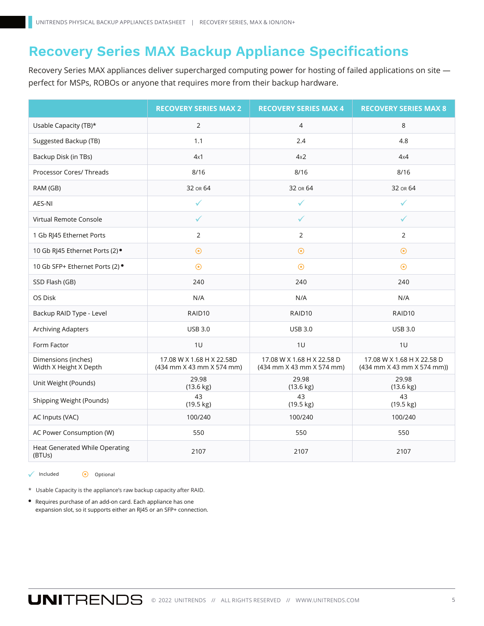## **Recovery Series MAX Backup Appliance Specifications**

Recovery Series MAX appliances deliver supercharged computing power for hosting of failed applications on site perfect for MSPs, ROBOs or anyone that requires more from their backup hardware.

|                                                 | <b>RECOVERY SERIES MAX 2</b>                           | <b>RECOVERY SERIES MAX 4</b>                            | <b>RECOVERY SERIES MAX 8</b>                             |  |  |
|-------------------------------------------------|--------------------------------------------------------|---------------------------------------------------------|----------------------------------------------------------|--|--|
| Usable Capacity (TB)*                           | $\overline{2}$                                         | $\overline{4}$                                          | 8                                                        |  |  |
| Suggested Backup (TB)                           | 1.1                                                    | 2.4                                                     | 4.8                                                      |  |  |
| Backup Disk (in TBs)                            | 4x1                                                    | 4x2                                                     | 4x4                                                      |  |  |
| Processor Cores/ Threads                        | 8/16                                                   | 8/16                                                    | 8/16                                                     |  |  |
| RAM (GB)                                        | 32 OR 64                                               | 32 OR 64                                                | 32 OR 64                                                 |  |  |
| AES-NI                                          | ✓                                                      | ✓                                                       | ✓                                                        |  |  |
| Virtual Remote Console                          | ✓                                                      | ✓                                                       | ✓                                                        |  |  |
| 1 Gb RJ45 Ethernet Ports                        | 2                                                      | 2                                                       | $\overline{2}$                                           |  |  |
| 10 Gb RJ45 Ethernet Ports (2) ·                 | $\odot$                                                | $\odot$                                                 | $\odot$                                                  |  |  |
| 10 Gb SFP+ Ethernet Ports (2) ·                 | $\odot$                                                | $\odot$                                                 | $\odot$                                                  |  |  |
| SSD Flash (GB)                                  | 240                                                    | 240                                                     | 240                                                      |  |  |
| OS Disk                                         | N/A                                                    | N/A                                                     | N/A                                                      |  |  |
| Backup RAID Type - Level                        | RAID10                                                 | RAID10                                                  | RAID10                                                   |  |  |
| Archiving Adapters                              | <b>USB 3.0</b>                                         | <b>USB 3.0</b>                                          | <b>USB 3.0</b>                                           |  |  |
| Form Factor                                     | 1U                                                     | 1U                                                      | 1U                                                       |  |  |
| Dimensions (inches)<br>Width X Height X Depth   | 17.08 W X 1.68 H X 22.58D<br>(434 mm X 43 mm X 574 mm) | 17.08 W X 1.68 H X 22.58 D<br>(434 mm X 43 mm X 574 mm) | 17.08 W X 1.68 H X 22.58 D<br>(434 mm X 43 mm X 574 mm)) |  |  |
| Unit Weight (Pounds)                            | 29.98<br>$(13.6 \text{ kg})$                           | 29.98<br>$(13.6 \text{ kg})$                            | 29.98<br>$(13.6 \text{ kg})$                             |  |  |
| Shipping Weight (Pounds)                        | 43<br>(19.5 kg)                                        | 43<br>(19.5 kg)                                         | 43<br>$(19.5 \text{ kg})$                                |  |  |
| AC Inputs (VAC)                                 | 100/240                                                | 100/240                                                 | 100/240                                                  |  |  |
| AC Power Consumption (W)                        | 550                                                    | 550                                                     | 550                                                      |  |  |
| <b>Heat Generated While Operating</b><br>(BTUs) | 2107                                                   | 2107                                                    | 2107                                                     |  |  |

 $\Box$ Included  $\bigodot$  Optional

\* Usable Capacity is the appliance's raw backup capacity after RAID.

Requires purchase of an add-on card. Each appliance has one ● expansion slot, so it supports either an RJ45 or an SFP+ connection.